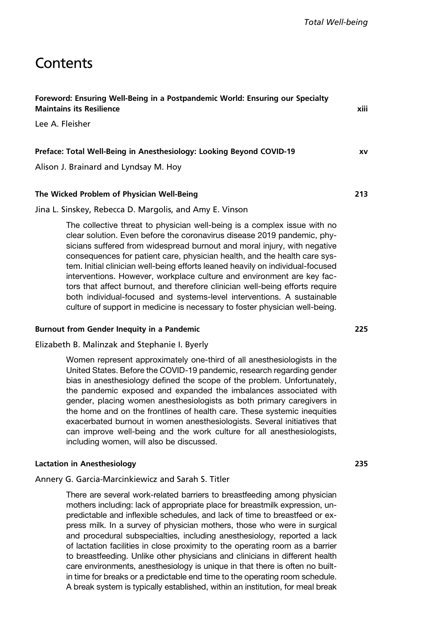# **Contents**

| Foreword: Ensuring Well-Being in a Postpandemic World: Ensuring our Specialty<br><b>Maintains its Resilience</b> | xiii      |
|------------------------------------------------------------------------------------------------------------------|-----------|
| Lee A. Fleisher                                                                                                  |           |
| Preface: Total Well-Being in Anesthesiology: Looking Beyond COVID-19                                             | <b>XV</b> |
| Alison J. Brainard and Lyndsay M. Hoy                                                                            |           |
| The Wicked Problem of Physician Well-Being                                                                       | 213       |

#### Jina L. Sinskey, Rebecca D. Margolis, and Amy E. Vinson

The collective threat to physician well-being is a complex issue with no clear solution. Even before the coronavirus disease 2019 pandemic, physicians suffered from widespread burnout and moral injury, with negative consequences for patient care, physician health, and the health care system. Initial clinician well-being efforts leaned heavily on individual-focused interventions. However, workplace culture and environment are key factors that affect burnout, and therefore clinician well-being efforts require both individual-focused and systems-level interventions. A sustainable culture of support in medicine is necessary to foster physician well-being.

#### Burnout from Gender Inequity in a Pandemic 225

#### Elizabeth B. Malinzak and Stephanie I. Byerly

Women represent approximately one-third of all anesthesiologists in the United States. Before the COVID-19 pandemic, research regarding gender bias in anesthesiology defined the scope of the problem. Unfortunately, the pandemic exposed and expanded the imbalances associated with gender, placing women anesthesiologists as both primary caregivers in the home and on the frontlines of health care. These systemic inequities exacerbated burnout in women anesthesiologists. Several initiatives that can improve well-being and the work culture for all anesthesiologists, including women, will also be discussed.

## Lactation in Anesthesiology 235

Annery G. Garcia-Marcinkiewicz and Sarah S. Titler

There are several work-related barriers to breastfeeding among physician mothers including: lack of appropriate place for breastmilk expression, unpredictable and inflexible schedules, and lack of time to breastfeed or express milk. In a survey of physician mothers, those who were in surgical and procedural subspecialties, including anesthesiology, reported a lack of lactation facilities in close proximity to the operating room as a barrier to breastfeeding. Unlike other physicians and clinicians in different health care environments, anesthesiology is unique in that there is often no builtin time for breaks or a predictable end time to the operating room schedule. A break system is typically established, within an institution, for meal break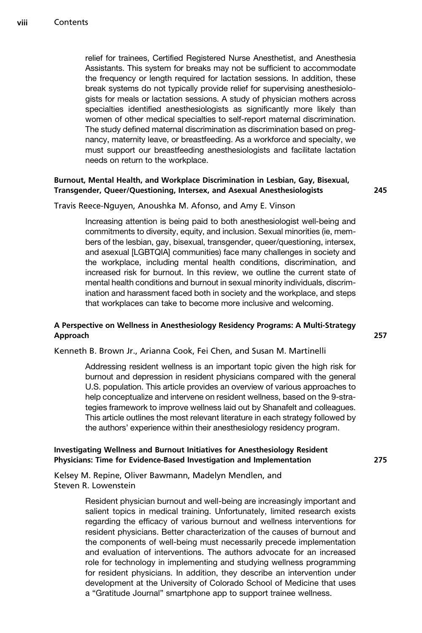relief for trainees, Certified Registered Nurse Anesthetist, and Anesthesia Assistants. This system for breaks may not be sufficient to accommodate the frequency or length required for lactation sessions. In addition, these break systems do not typically provide relief for supervising anesthesiologists for meals or lactation sessions. A study of physician mothers across specialties identified anesthesiologists as significantly more likely than women of other medical specialties to self-report maternal discrimination. The study defined maternal discrimination as discrimination based on pregnancy, maternity leave, or breastfeeding. As a workforce and specialty, we must support our breastfeeding anesthesiologists and facilitate lactation needs on return to the workplace.

## Burnout, Mental Health, and Workplace Discrimination in Lesbian, Gay, Bisexual, Transgender, Queer/Questioning, Intersex, and Asexual Anesthesiologists 245

Travis Reece-Nguyen, Anoushka M. Afonso, and Amy E. Vinson

Increasing attention is being paid to both anesthesiologist well-being and commitments to diversity, equity, and inclusion. Sexual minorities (ie, members of the lesbian, gay, bisexual, transgender, queer/questioning, intersex, and asexual [LGBTQIA] communities) face many challenges in society and the workplace, including mental health conditions, discrimination, and increased risk for burnout. In this review, we outline the current state of mental health conditions and burnout in sexual minority individuals, discrimination and harassment faced both in society and the workplace, and steps that workplaces can take to become more inclusive and welcoming.

## A Perspective on Wellness in Anesthesiology Residency Programs: A Multi-Strategy Approach 257

Kenneth B. Brown Jr., Arianna Cook, Fei Chen, and Susan M. Martinelli

Addressing resident wellness is an important topic given the high risk for burnout and depression in resident physicians compared with the general U.S. population. This article provides an overview of various approaches to help conceptualize and intervene on resident wellness, based on the 9-strategies framework to improve wellness laid out by Shanafelt and colleagues. This article outlines the most relevant literature in each strategy followed by the authors' experience within their anesthesiology residency program.

## Investigating Wellness and Burnout Initiatives for Anesthesiology Resident Physicians: Time for Evidence-Based Investigation and Implementation 275

Kelsey M. Repine, Oliver Bawmann, Madelyn Mendlen, and Steven R. Lowenstein

> Resident physician burnout and well-being are increasingly important and salient topics in medical training. Unfortunately, limited research exists regarding the efficacy of various burnout and wellness interventions for resident physicians. Better characterization of the causes of burnout and the components of well-being must necessarily precede implementation and evaluation of interventions. The authors advocate for an increased role for technology in implementing and studying wellness programming for resident physicians. In addition, they describe an intervention under development at the University of Colorado School of Medicine that uses a "Gratitude Journal" smartphone app to support trainee wellness.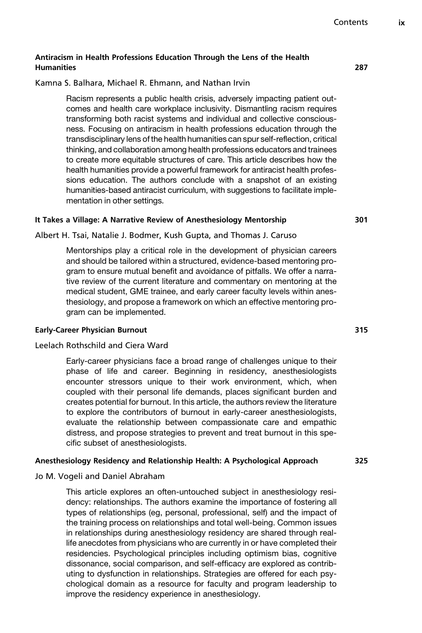## Antiracism in Health Professions Education Through the Lens of the Health Humanities 287

## Kamna S. Balhara, Michael R. Ehmann, and Nathan Irvin

Racism represents a public health crisis, adversely impacting patient outcomes and health care workplace inclusivity. Dismantling racism requires transforming both racist systems and individual and collective consciousness. Focusing on antiracism in health professions education through the transdisciplinary lens of the health humanities can spur self-reflection, critical thinking, and collaboration among health professions educators and trainees to create more equitable structures of care. This article describes how the health humanities provide a powerful framework for antiracist health professions education. The authors conclude with a snapshot of an existing humanities-based antiracist curriculum, with suggestions to facilitate implementation in other settings.

## It Takes a Village: A Narrative Review of Anesthesiology Mentorship 301

Albert H. Tsai, Natalie J. Bodmer, Kush Gupta, and Thomas J. Caruso

Mentorships play a critical role in the development of physician careers and should be tailored within a structured, evidence-based mentoring program to ensure mutual benefit and avoidance of pitfalls. We offer a narrative review of the current literature and commentary on mentoring at the medical student, GME trainee, and early career faculty levels within anesthesiology, and propose a framework on which an effective mentoring program can be implemented.

## Early-Career Physician Burnout 315

## Leelach Rothschild and Ciera Ward

Early-career physicians face a broad range of challenges unique to their phase of life and career. Beginning in residency, anesthesiologists encounter stressors unique to their work environment, which, when coupled with their personal life demands, places significant burden and creates potential for burnout. In this article, the authors review the literature to explore the contributors of burnout in early-career anesthesiologists, evaluate the relationship between compassionate care and empathic distress, and propose strategies to prevent and treat burnout in this specific subset of anesthesiologists.

## Anesthesiology Residency and Relationship Health: A Psychological Approach 325

Jo M. Vogeli and Daniel Abraham

This article explores an often-untouched subject in anesthesiology residency: relationships. The authors examine the importance of fostering all types of relationships (eg, personal, professional, self) and the impact of the training process on relationships and total well-being. Common issues in relationships during anesthesiology residency are shared through reallife anecdotes from physicians who are currently in or have completed their residencies. Psychological principles including optimism bias, cognitive dissonance, social comparison, and self-efficacy are explored as contributing to dysfunction in relationships. Strategies are offered for each psychological domain as a resource for faculty and program leadership to improve the residency experience in anesthesiology.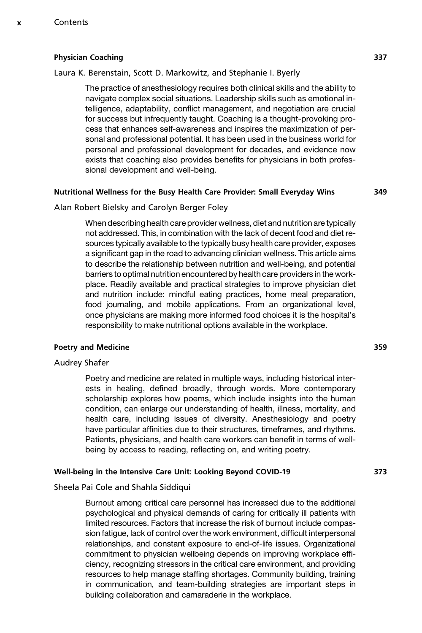#### Physician Coaching 337

#### Laura K. Berenstain, Scott D. Markowitz, and Stephanie I. Byerly

The practice of anesthesiology requires both clinical skills and the ability to navigate complex social situations. Leadership skills such as emotional intelligence, adaptability, conflict management, and negotiation are crucial for success but infrequently taught. Coaching is a thought-provoking process that enhances self-awareness and inspires the maximization of personal and professional potential. It has been used in the business world for personal and professional development for decades, and evidence now exists that coaching also provides benefits for physicians in both professional development and well-being.

#### Nutritional Wellness for the Busy Health Care Provider: Small Everyday Wins 349

# Alan Robert Bielsky and Carolyn Berger Foley

When describing health care provider wellness, diet and nutrition are typically not addressed. This, in combination with the lack of decent food and diet resources typically available to the typically busy health care provider, exposes a significant gap in the road to advancing clinician wellness. This article aims to describe the relationship between nutrition and well-being, and potential barriers to optimal nutrition encountered by health care providers in the workplace. Readily available and practical strategies to improve physician diet and nutrition include: mindful eating practices, home meal preparation, food journaling, and mobile applications. From an organizational level, once physicians are making more informed food choices it is the hospital's responsibility to make nutritional options available in the workplace.

#### Poetry and Medicine 359

## Audrey Shafer

Poetry and medicine are related in multiple ways, including historical interests in healing, defined broadly, through words. More contemporary scholarship explores how poems, which include insights into the human condition, can enlarge our understanding of health, illness, mortality, and health care, including issues of diversity. Anesthesiology and poetry have particular affinities due to their structures, timeframes, and rhythms. Patients, physicians, and health care workers can benefit in terms of wellbeing by access to reading, reflecting on, and writing poetry.

## Well-being in the Intensive Care Unit: Looking Beyond COVID-19 373

## Sheela Pai Cole and Shahla Siddiqui

Burnout among critical care personnel has increased due to the additional psychological and physical demands of caring for critically ill patients with limited resources. Factors that increase the risk of burnout include compassion fatigue, lack of control over the work environment, difficult interpersonal relationships, and constant exposure to end-of-life issues. Organizational commitment to physician wellbeing depends on improving workplace efficiency, recognizing stressors in the critical care environment, and providing resources to help manage staffing shortages. Community building, training in communication, and team-building strategies are important steps in building collaboration and camaraderie in the workplace.